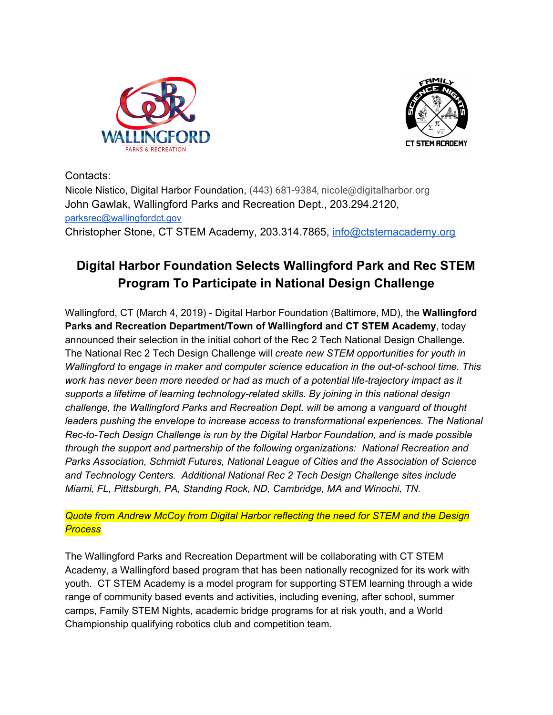



Contacts:

Nicole Nistico, Digital Harbor Foundation, (443) 681-9384, nicole@digitalharbor.org John Gawlak, Wallingford Parks and Recreation Dept., 203.294.2120, [parksrec@wallingfordct.gov](mailto:parksrec@wallingfordct.gov) Christopher Stone, CT STEM Academy, 203.314.7865, [info@ctstemacademy.org](mailto:info@ctstemacademy.org)

## **Digital Harbor Foundation Selects Wallingford Park and Rec STEM Program To Participate in National Design Challenge**

Wallingford, CT (March 4, 2019) - Digital Harbor Foundation (Baltimore, MD), the **Wallingford Parks and Recreation Department/Town of Wallingford and CT STEM Academy**, today announced their selection in the initial cohort of the Rec 2 Tech National Design Challenge. The National Rec 2 Tech Design Challenge will *create new STEM opportunities for youth in Wallingford to engage in maker and computer science education in the out-of-school time. This work has never been more needed or had as much of a potential life-trajectory impact as it supports a lifetime of learning technology-related skills. By joining in this national design challenge, the Wallingford Parks and Recreation Dept. will be among a vanguard of thought leaders pushing the envelope to increase access to transformational experiences. The National Rec-to-Tech Design Challenge is run by the Digital Harbor Foundation, and is made possible through the support and partnership of the following organizations: National Recreation and Parks Association, Schmidt Futures, National League of Cities and the Association of Science and Technology Centers. Additional National Rec 2 Tech Design Challenge sites include Miami, FL, Pittsburgh, PA, Standing Rock, ND, Cambridge, MA and Winochi, TN.*

## *Quote from Andrew McCoy from Digital Harbor reflecting the need for STEM and the Design Process*

The Wallingford Parks and Recreation Department will be collaborating with CT STEM Academy, a Wallingford based program that has been nationally recognized for its work with youth. CT STEM Academy is a model program for supporting STEM learning through a wide range of community based events and activities, including evening, after school, summer camps, Family STEM Nights, academic bridge programs for at risk youth, and a World Championship qualifying robotics club and competition team.